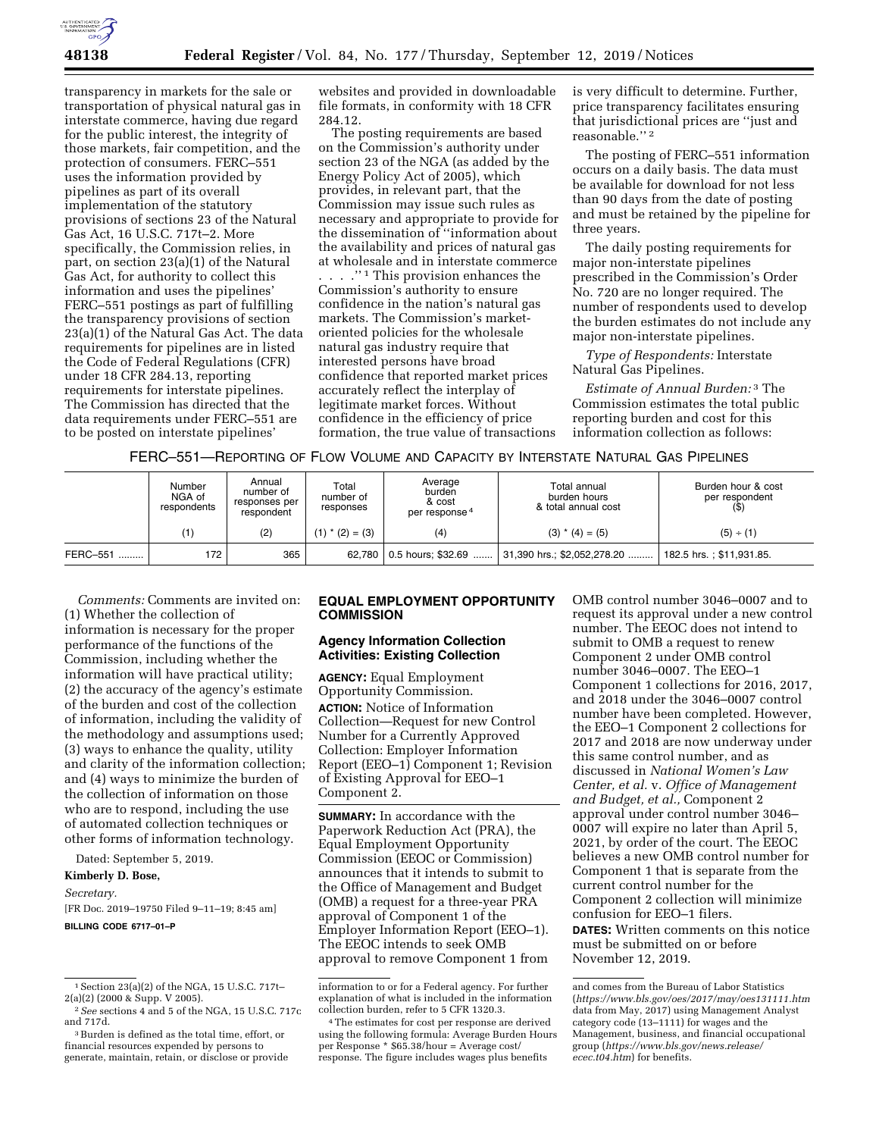

transparency in markets for the sale or transportation of physical natural gas in interstate commerce, having due regard for the public interest, the integrity of those markets, fair competition, and the protection of consumers. FERC–551 uses the information provided by pipelines as part of its overall implementation of the statutory provisions of sections 23 of the Natural Gas Act, 16 U.S.C. 717t–2. More specifically, the Commission relies, in part, on section 23(a)(1) of the Natural Gas Act, for authority to collect this information and uses the pipelines' FERC–551 postings as part of fulfilling the transparency provisions of section 23(a)(1) of the Natural Gas Act. The data requirements for pipelines are in listed the Code of Federal Regulations (CFR) under 18 CFR 284.13, reporting requirements for interstate pipelines. The Commission has directed that the data requirements under FERC–551 are to be posted on interstate pipelines'

websites and provided in downloadable file formats, in conformity with 18 CFR 284.12.

The posting requirements are based on the Commission's authority under section 23 of the NGA (as added by the Energy Policy Act of 2005), which provides, in relevant part, that the Commission may issue such rules as necessary and appropriate to provide for the dissemination of ''information about the availability and prices of natural gas at wholesale and in interstate commerce . . . . "<sup>1</sup> This provision enhances the Commission's authority to ensure confidence in the nation's natural gas markets. The Commission's marketoriented policies for the wholesale natural gas industry require that interested persons have broad confidence that reported market prices accurately reflect the interplay of legitimate market forces. Without confidence in the efficiency of price formation, the true value of transactions

is very difficult to determine. Further, price transparency facilitates ensuring that jurisdictional prices are ''just and reasonable.'' 2

The posting of FERC–551 information occurs on a daily basis. The data must be available for download for not less than 90 days from the date of posting and must be retained by the pipeline for three years.

The daily posting requirements for major non-interstate pipelines prescribed in the Commission's Order No. 720 are no longer required. The number of respondents used to develop the burden estimates do not include any major non-interstate pipelines.

*Type of Respondents:* Interstate Natural Gas Pipelines.

*Estimate of Annual Burden:* 3 The Commission estimates the total public reporting burden and cost for this information collection as follows:

FERC–551—REPORTING OF FLOW VOLUME AND CAPACITY BY INTERSTATE NATURAL GAS PIPELINES

|          | Number<br>NGA of<br>respondents | Annual<br>number of<br>responses per<br>respondent | Total<br>number of<br>responses | Average<br>burden<br>& cost<br>per response <sup>4</sup> | Total annual<br>burden hours<br>& total annual cost | Burden hour & cost<br>per respondent |
|----------|---------------------------------|----------------------------------------------------|---------------------------------|----------------------------------------------------------|-----------------------------------------------------|--------------------------------------|
|          | (1)                             | (2)                                                | $(1)$ * $(2) = (3)$             | (4)                                                      | $(3)$ * $(4) = (5)$                                 | (5) ÷ (1)                            |
| FERC-551 | 172                             | 365                                                |                                 | 62,780   0.5 hours; \$32.69                              | 31,390 hrs.; \$2,052,278.20                         | 182.5 hrs.: \$11,931.85.             |

*Comments:* Comments are invited on: (1) Whether the collection of information is necessary for the proper performance of the functions of the Commission, including whether the information will have practical utility; (2) the accuracy of the agency's estimate of the burden and cost of the collection of information, including the validity of the methodology and assumptions used; (3) ways to enhance the quality, utility and clarity of the information collection; and (4) ways to minimize the burden of the collection of information on those who are to respond, including the use of automated collection techniques or other forms of information technology.

Dated: September 5, 2019.

## **Kimberly D. Bose,**

#### *Secretary.*

[FR Doc. 2019–19750 Filed 9–11–19; 8:45 am] **BILLING CODE 6717–01–P** 

## **EQUAL EMPLOYMENT OPPORTUNITY COMMISSION**

## **Agency Information Collection Activities: Existing Collection**

**AGENCY:** Equal Employment Opportunity Commission. **ACTION:** Notice of Information Collection—Request for new Control Number for a Currently Approved Collection: Employer Information Report (EEO–1) Component 1; Revision of Existing Approval for EEO–1 Component 2.

**SUMMARY:** In accordance with the Paperwork Reduction Act (PRA), the Equal Employment Opportunity Commission (EEOC or Commission) announces that it intends to submit to the Office of Management and Budget (OMB) a request for a three-year PRA approval of Component 1 of the Employer Information Report (EEO–1). The EEOC intends to seek OMB approval to remove Component 1 from OMB control number 3046–0007 and to request its approval under a new control number. The EEOC does not intend to submit to OMB a request to renew Component 2 under OMB control number 3046–0007. The EEO–1 Component 1 collections for 2016, 2017, and 2018 under the 3046–0007 control number have been completed. However, the EEO–1 Component 2 collections for 2017 and 2018 are now underway under this same control number, and as discussed in *National Women's Law Center, et al.* v. *Office of Management and Budget, et al.,* Component 2 approval under control number 3046– 0007 will expire no later than April 5, 2021, by order of the court. The EEOC believes a new OMB control number for Component 1 that is separate from the current control number for the Component 2 collection will minimize confusion for EEO–1 filers. **DATES:** Written comments on this notice

must be submitted on or before November 12, 2019.

 $^{\rm 1}$  Section 23(a)(2) of the NGA, 15 U.S.C. 717t–2(a)(2) (2000 & Supp. V 2005).

 $^2\,See$  sections 4 and 5 of the NGA, 15 U.S.C. 717c and 717d.

<sup>&</sup>lt;sup>3</sup> Burden is defined as the total time, effort, or financial resources expended by persons to generate, maintain, retain, or disclose or provide

information to or for a Federal agency. For further explanation of what is included in the information collection burden, refer to 5 CFR 1320.3.

<sup>4</sup>The estimates for cost per response are derived using the following formula: Average Burden Hours per Response \* \$65.38/hour = Average cost/ response. The figure includes wages plus benefits

and comes from the Bureau of Labor Statistics (*<https://www.bls.gov/oes/2017/may/oes131111.htm>*  data from May, 2017) using Management Analyst category code (13–1111) for wages and the Management, business, and financial occupational group (*[https://www.bls.gov/news.release/](https://www.bls.gov/news.release/ecec.t04.htm)  [ecec.t04.htm](https://www.bls.gov/news.release/ecec.t04.htm)*) for benefits.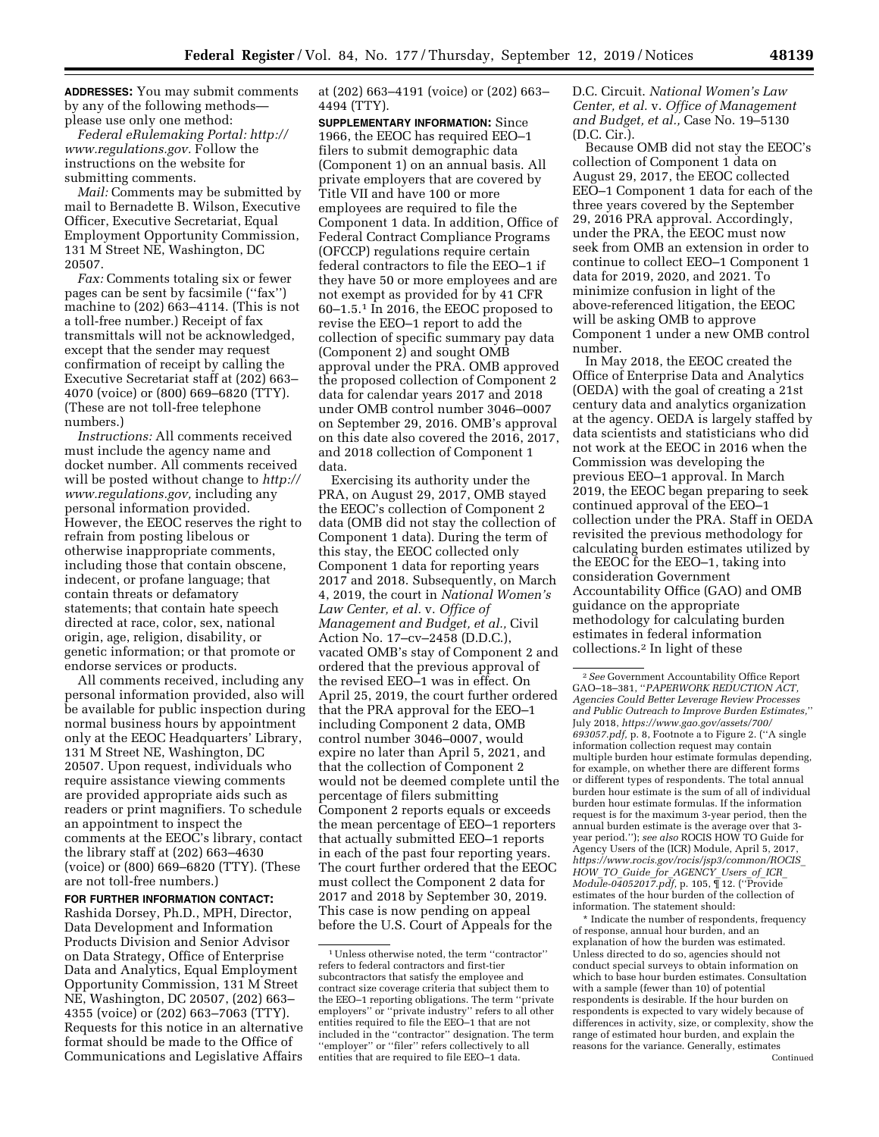**ADDRESSES:** You may submit comments by any of the following methods please use only one method:

*Federal eRulemaking Portal: [http://](http://www.regulations.gov) [www.regulations.gov.](http://www.regulations.gov)* Follow the instructions on the website for submitting comments.

*Mail:* Comments may be submitted by mail to Bernadette B. Wilson, Executive Officer, Executive Secretariat, Equal Employment Opportunity Commission, 131 M Street NE, Washington, DC 20507.

*Fax:* Comments totaling six or fewer pages can be sent by facsimile (''fax'') machine to (202) 663–4114. (This is not a toll-free number.) Receipt of fax transmittals will not be acknowledged, except that the sender may request confirmation of receipt by calling the Executive Secretariat staff at (202) 663– 4070 (voice) or (800) 669–6820 (TTY). (These are not toll-free telephone numbers.)

*Instructions:* All comments received must include the agency name and docket number. All comments received will be posted without change to *[http://](http://www.regulations.gov) [www.regulations.gov,](http://www.regulations.gov)* including any personal information provided. However, the EEOC reserves the right to refrain from posting libelous or otherwise inappropriate comments, including those that contain obscene, indecent, or profane language; that contain threats or defamatory statements; that contain hate speech directed at race, color, sex, national origin, age, religion, disability, or genetic information; or that promote or endorse services or products.

All comments received, including any personal information provided, also will be available for public inspection during normal business hours by appointment only at the EEOC Headquarters' Library, 131 M Street NE, Washington, DC 20507. Upon request, individuals who require assistance viewing comments are provided appropriate aids such as readers or print magnifiers. To schedule an appointment to inspect the comments at the EEOC's library, contact the library staff at (202) 663–4630 (voice) or (800) 669–6820 (TTY). (These are not toll-free numbers.)

#### **FOR FURTHER INFORMATION CONTACT:**

Rashida Dorsey, Ph.D., MPH, Director, Data Development and Information Products Division and Senior Advisor on Data Strategy, Office of Enterprise Data and Analytics, Equal Employment Opportunity Commission, 131 M Street NE, Washington, DC 20507, (202) 663– 4355 (voice) or (202) 663–7063 (TTY). Requests for this notice in an alternative format should be made to the Office of Communications and Legislative Affairs

at (202) 663–4191 (voice) or (202) 663– 4494 (TTY).

**SUPPLEMENTARY INFORMATION:** Since 1966, the EEOC has required EEO–1 filers to submit demographic data (Component 1) on an annual basis. All private employers that are covered by Title VII and have 100 or more employees are required to file the Component 1 data. In addition, Office of Federal Contract Compliance Programs (OFCCP) regulations require certain federal contractors to file the EEO–1 if they have 50 or more employees and are not exempt as provided for by 41 CFR 60–1.5.1 In 2016, the EEOC proposed to revise the EEO–1 report to add the collection of specific summary pay data (Component 2) and sought OMB approval under the PRA. OMB approved the proposed collection of Component 2 data for calendar years 2017 and 2018 under OMB control number 3046–0007 on September 29, 2016. OMB's approval on this date also covered the 2016, 2017, and 2018 collection of Component 1 data.

Exercising its authority under the PRA, on August 29, 2017, OMB stayed the EEOC's collection of Component 2 data (OMB did not stay the collection of Component 1 data). During the term of this stay, the EEOC collected only Component 1 data for reporting years 2017 and 2018. Subsequently, on March 4, 2019, the court in *National Women's Law Center, et al.* v. *Office of Management and Budget, et al.,* Civil Action No. 17–cv–2458 (D.D.C.), vacated OMB's stay of Component 2 and ordered that the previous approval of the revised EEO–1 was in effect. On April 25, 2019, the court further ordered that the PRA approval for the EEO–1 including Component 2 data, OMB control number 3046–0007, would expire no later than April 5, 2021, and that the collection of Component 2 would not be deemed complete until the percentage of filers submitting Component 2 reports equals or exceeds the mean percentage of EEO–1 reporters that actually submitted EEO–1 reports in each of the past four reporting years. The court further ordered that the EEOC must collect the Component 2 data for 2017 and 2018 by September 30, 2019. This case is now pending on appeal before the U.S. Court of Appeals for the

D.C. Circuit. *National Women's Law Center, et al.* v. *Office of Management and Budget, et al.,* Case No. 19–5130 (D.C. Cir.).

Because OMB did not stay the EEOC's collection of Component 1 data on August 29, 2017, the EEOC collected EEO–1 Component 1 data for each of the three years covered by the September 29, 2016 PRA approval. Accordingly, under the PRA, the EEOC must now seek from OMB an extension in order to continue to collect EEO–1 Component 1 data for 2019, 2020, and 2021. To minimize confusion in light of the above-referenced litigation, the EEOC will be asking OMB to approve Component 1 under a new OMB control number.

In May 2018, the EEOC created the Office of Enterprise Data and Analytics (OEDA) with the goal of creating a 21st century data and analytics organization at the agency. OEDA is largely staffed by data scientists and statisticians who did not work at the EEOC in 2016 when the Commission was developing the previous EEO–1 approval. In March 2019, the EEOC began preparing to seek continued approval of the EEO–1 collection under the PRA. Staff in OEDA revisited the previous methodology for calculating burden estimates utilized by the EEOC for the EEO–1, taking into consideration Government Accountability Office (GAO) and OMB guidance on the appropriate methodology for calculating burden estimates in federal information collections.2 In light of these

\* Indicate the number of respondents, frequency of response, annual hour burden, and an explanation of how the burden was estimated. Unless directed to do so, agencies should not conduct special surveys to obtain information on which to base hour burden estimates. Consultation with a sample (fewer than 10) of potential respondents is desirable. If the hour burden on respondents is expected to vary widely because of differences in activity, size, or complexity, show the range of estimated hour burden, and explain the reasons for the variance. Generally, estimates Continued

 $^{\rm 1}$  Unless otherwise noted, the term ''contractor'' refers to federal contractors and first-tier subcontractors that satisfy the employee and contract size coverage criteria that subject them to the EEO–1 reporting obligations. The term ''private employers'' or ''private industry'' refers to all other entities required to file the EEO–1 that are not included in the ''contractor'' designation. The term "employer" or "filer" refers collectively to all entities that are required to file EEO–1 data.

<sup>2</sup>*See* Government Accountability Office Report GAO–18–381, ''*PAPERWORK REDUCTION ACT, Agencies Could Better Leverage Review Processes and Public Outreach to Improve Burden Estimates,*'' July 2018, *[https://www.gao.gov/assets/700/](https://www.gao.gov/assets/700/693057.pdf)  [693057.pdf,](https://www.gao.gov/assets/700/693057.pdf)* p. 8, Footnote a to Figure 2. (''A single information collection request may contain multiple burden hour estimate formulas depending, for example, on whether there are different forms or different types of respondents. The total annual burden hour estimate is the sum of all of individual burden hour estimate formulas. If the information request is for the maximum 3-year period, then the annual burden estimate is the average over that 3 year period.''); *see also* ROCIS HOW TO Guide for Agency Users of the (ICR) Module, April 5, 2017, *[https://www.rocis.gov/rocis/jsp3/common/ROCIS](https://www.rocis.gov/rocis/jsp3/common/ROCIS_HOW_TO_Guide_for_AGENCY_Users_of_ICR_Module-04052017.pdf)*\_ *HOW*\_*TO*\_*Guide*\_*for*\_*[AGENCY](https://www.rocis.gov/rocis/jsp3/common/ROCIS_HOW_TO_Guide_for_AGENCY_Users_of_ICR_Module-04052017.pdf)*\_*Users*\_*of*\_*ICR*\_ *[Module-04052017.pdf,](https://www.rocis.gov/rocis/jsp3/common/ROCIS_HOW_TO_Guide_for_AGENCY_Users_of_ICR_Module-04052017.pdf)* p. 105, ¶ 12. (''Provide estimates of the hour burden of the collection of information. The statement should: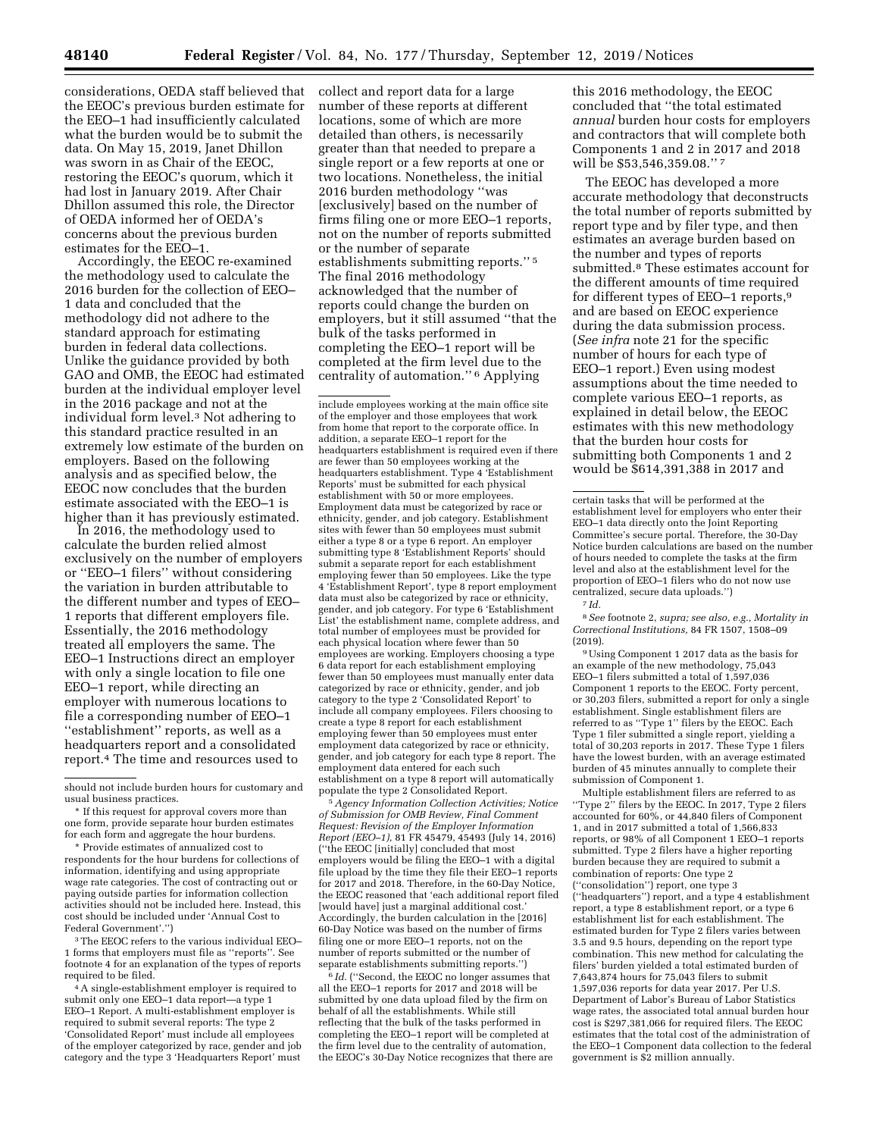considerations, OEDA staff believed that the EEOC's previous burden estimate for the EEO–1 had insufficiently calculated what the burden would be to submit the data. On May 15, 2019, Janet Dhillon was sworn in as Chair of the EEOC, restoring the EEOC's quorum, which it had lost in January 2019. After Chair Dhillon assumed this role, the Director of OEDA informed her of OEDA's concerns about the previous burden estimates for the EEO–1.

Accordingly, the EEOC re-examined the methodology used to calculate the 2016 burden for the collection of EEO– 1 data and concluded that the methodology did not adhere to the standard approach for estimating burden in federal data collections. Unlike the guidance provided by both GAO and OMB, the EEOC had estimated burden at the individual employer level in the 2016 package and not at the individual form level.3 Not adhering to this standard practice resulted in an extremely low estimate of the burden on employers. Based on the following analysis and as specified below, the EEOC now concludes that the burden estimate associated with the EEO–1 is higher than it has previously estimated.

In 2016, the methodology used to calculate the burden relied almost exclusively on the number of employers or ''EEO–1 filers'' without considering the variation in burden attributable to the different number and types of EEO– 1 reports that different employers file. Essentially, the 2016 methodology treated all employers the same. The EEO–1 Instructions direct an employer with only a single location to file one EEO–1 report, while directing an employer with numerous locations to file a corresponding number of EEO–1 ''establishment'' reports, as well as a headquarters report and a consolidated report.4 The time and resources used to

3The EEOC refers to the various individual EEO– 1 forms that employers must file as ''reports''. See footnote 4 for an explanation of the types of reports required to be filed.

4A single-establishment employer is required to submit only one EEO–1 data report—a type 1 EEO–1 Report. A multi-establishment employer is required to submit several reports: The type 2 'Consolidated Report' must include all employees of the employer categorized by race, gender and job category and the type 3 'Headquarters Report' must collect and report data for a large number of these reports at different locations, some of which are more detailed than others, is necessarily greater than that needed to prepare a single report or a few reports at one or two locations. Nonetheless, the initial 2016 burden methodology ''was [exclusively] based on the number of firms filing one or more EEO–1 reports, not on the number of reports submitted or the number of separate establishments submitting reports.'' 5 The final 2016 methodology acknowledged that the number of reports could change the burden on employers, but it still assumed ''that the bulk of the tasks performed in completing the EEO–1 report will be completed at the firm level due to the centrality of automation.'' 6 Applying

include employees working at the main office site of the employer and those employees that work from home that report to the corporate office. In addition, a separate EEO–1 report for the headquarters establishment is required even if there are fewer than 50 employees working at the headquarters establishment. Type 4 'Establishment Reports' must be submitted for each physical establishment with 50 or more employees. Employment data must be categorized by race or ethnicity, gender, and job category. Establishment sites with fewer than 50 employees must submit either a type 8 or a type 6 report. An employer submitting type 8 'Establishment Reports' should submit a separate report for each establishment employing fewer than 50 employees. Like the type 4 'Establishment Report', type 8 report employment data must also be categorized by race or ethnicity, gender, and job category. For type 6 'Establishment List' the establishment name, complete address, and total number of employees must be provided for each physical location where fewer than 50 employees are working. Employers choosing a type 6 data report for each establishment employing fewer than 50 employees must manually enter data categorized by race or ethnicity, gender, and job category to the type 2 'Consolidated Report' to include all company employees. Filers choosing to create a type 8 report for each establishment employing fewer than 50 employees must enter employment data categorized by race or ethnicity, gender, and job category for each type 8 report. The employment data entered for each such establishment on a type 8 report will automatically

 $5$  Agency Information Collection Activities; Notice *of Submission for OMB Review, Final Comment Request: Revision of the Employer Information Report (EEO–1),* 81 FR 45479, 45493 (July 14, 2016) (''the EEOC [initially] concluded that most employers would be filing the EEO–1 with a digital file upload by the time they file their EEO–1 reports for 2017 and 2018. Therefore, in the 60-Day Notice, the EEOC reasoned that 'each additional report filed [would have] just a marginal additional cost. Accordingly, the burden calculation in the [2016] 60-Day Notice was based on the number of firms filing one or more EEO–1 reports, not on the number of reports submitted or the number of separate establishments submitting reports.'')

<sup>6</sup> *Id.* ("Second, the EEOC no longer assumes that all the EEO–1 reports for 2017 and 2018 will be submitted by one data upload filed by the firm on behalf of all the establishments. While still reflecting that the bulk of the tasks performed in completing the EEO–1 report will be completed at the firm level due to the centrality of automation, the EEOC's 30-Day Notice recognizes that there are

this 2016 methodology, the EEOC concluded that ''the total estimated *annual* burden hour costs for employers and contractors that will complete both Components 1 and 2 in 2017 and 2018 will be \$53,546,359.08."?

The EEOC has developed a more accurate methodology that deconstructs the total number of reports submitted by report type and by filer type, and then estimates an average burden based on the number and types of reports submitted.8 These estimates account for the different amounts of time required for different types of EEO–1 reports,9 and are based on EEOC experience during the data submission process. (*See infra* note 21 for the specific number of hours for each type of EEO–1 report.) Even using modest assumptions about the time needed to complete various EEO–1 reports, as explained in detail below, the EEOC estimates with this new methodology that the burden hour costs for submitting both Components 1 and 2 would be \$614,391,388 in 2017 and

8*See* footnote 2, *supra; see also, e.g., Mortality in Correctional Institutions,* 84 FR 1507, 1508–09 (2019).

9Using Component 1 2017 data as the basis for an example of the new methodology, 75,043 EEO–1 filers submitted a total of 1,597,036 Component 1 reports to the EEOC. Forty percent, or 30,203 filers, submitted a report for only a single establishment. Single establishment filers are referred to as ''Type 1'' filers by the EEOC. Each Type 1 filer submitted a single report, yielding a total of 30,203 reports in 2017. These Type 1 filers have the lowest burden, with an average estimated burden of 45 minutes annually to complete their submission of Component 1.

Multiple establishment filers are referred to as ''Type 2'' filers by the EEOC. In 2017, Type 2 filers accounted for 60%, or 44,840 filers of Component 1, and in 2017 submitted a total of 1,566,833 reports, or 98% of all Component 1 EEO–1 reports submitted. Type 2 filers have a higher reporting burden because they are required to submit a combination of reports: One type 2 (''consolidation'') report, one type 3 (''headquarters'') report, and a type 4 establishment report, a type 8 establishment report, or a type 6 establishment list for each establishment. The estimated burden for Type 2 filers varies between 3.5 and 9.5 hours, depending on the report type combination. This new method for calculating the filers' burden yielded a total estimated burden of 7,643,874 hours for 75,043 filers to submit 1,597,036 reports for data year 2017. Per U.S. Department of Labor's Bureau of Labor Statistics wage rates, the associated total annual burden hour cost is \$297,381,066 for required filers. The EEOC estimates that the total cost of the administration of the EEO–1 Component data collection to the federal government is \$2 million annually.

should not include burden hours for customary and usual business practices.

<sup>\*</sup> If this request for approval covers more than one form, provide separate hour burden estimates for each form and aggregate the hour burdens.

<sup>\*</sup> Provide estimates of annualized cost to respondents for the hour burdens for collections of information, identifying and using appropriate wage rate categories. The cost of contracting out or paying outside parties for information collection activities should not be included here. Instead, this cost should be included under 'Annual Cost to Federal Government'.'')

certain tasks that will be performed at the establishment level for employers who enter their EEO–1 data directly onto the Joint Reporting Committee's secure portal. Therefore, the 30-Day Notice burden calculations are based on the number of hours needed to complete the tasks at the firm level and also at the establishment level for the proportion of EEO–1 filers who do not now use centralized, secure data uploads.'')

<sup>7</sup> *Id.*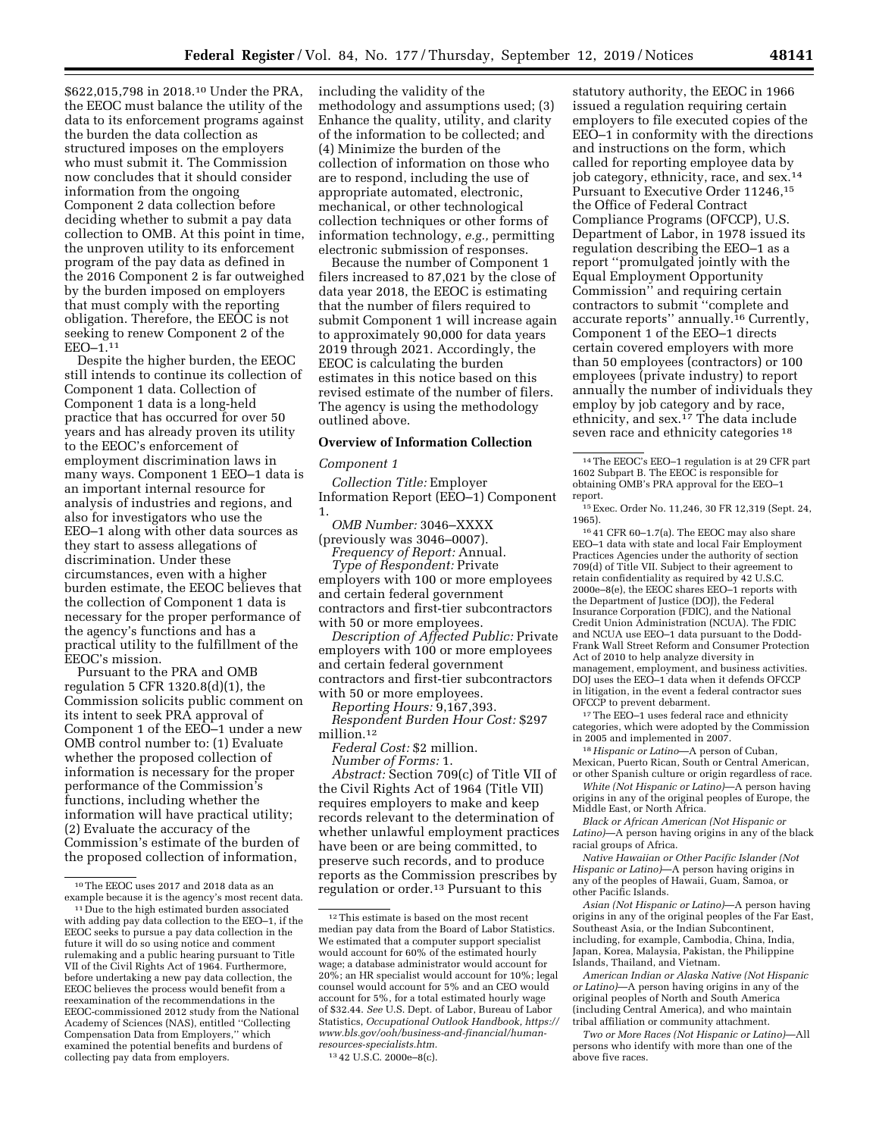\$622,015,798 in 2018.10 Under the PRA, the EEOC must balance the utility of the data to its enforcement programs against the burden the data collection as structured imposes on the employers who must submit it. The Commission now concludes that it should consider information from the ongoing Component 2 data collection before deciding whether to submit a pay data collection to OMB. At this point in time, the unproven utility to its enforcement program of the pay data as defined in the 2016 Component 2 is far outweighed by the burden imposed on employers that must comply with the reporting obligation. Therefore, the EEOC is not seeking to renew Component 2 of the EEO–1.11

Despite the higher burden, the EEOC still intends to continue its collection of Component 1 data. Collection of Component 1 data is a long-held practice that has occurred for over 50 years and has already proven its utility to the EEOC's enforcement of employment discrimination laws in many ways. Component 1 EEO–1 data is an important internal resource for analysis of industries and regions, and also for investigators who use the EEO–1 along with other data sources as they start to assess allegations of discrimination. Under these circumstances, even with a higher burden estimate, the EEOC believes that the collection of Component 1 data is necessary for the proper performance of the agency's functions and has a practical utility to the fulfillment of the EEOC's mission.

Pursuant to the PRA and OMB regulation 5 CFR 1320.8(d)(1), the Commission solicits public comment on its intent to seek PRA approval of Component 1 of the EEO–1 under a new OMB control number to: (1) Evaluate whether the proposed collection of information is necessary for the proper performance of the Commission's functions, including whether the information will have practical utility; (2) Evaluate the accuracy of the Commission's estimate of the burden of the proposed collection of information,

including the validity of the methodology and assumptions used; (3) Enhance the quality, utility, and clarity of the information to be collected; and (4) Minimize the burden of the collection of information on those who are to respond, including the use of appropriate automated, electronic, mechanical, or other technological collection techniques or other forms of information technology, *e.g.,* permitting electronic submission of responses.

Because the number of Component 1 filers increased to 87,021 by the close of data year 2018, the EEOC is estimating that the number of filers required to submit Component 1 will increase again to approximately 90,000 for data years 2019 through 2021. Accordingly, the EEOC is calculating the burden estimates in this notice based on this revised estimate of the number of filers. The agency is using the methodology outlined above.

### **Overview of Information Collection**

#### *Component 1*

*Collection Title:* Employer Information Report (EEO–1) Component 1.

*OMB Number:* 3046–XXXX

(previously was 3046–0007). *Frequency of Report:* Annual. *Type of Respondent:* Private

employers with 100 or more employees and certain federal government contractors and first-tier subcontractors with 50 or more employees.

*Description of Affected Public:* Private employers with 100 or more employees and certain federal government contractors and first-tier subcontractors with 50 or more employees.

*Reporting Hours:* 9,167,393.

*Respondent Burden Hour Cost:* \$297 million.12

*Federal Cost:* \$2 million.

*Number of Forms:* 1. *Abstract:* Section 709(c) of Title VII of the Civil Rights Act of 1964 (Title VII) requires employers to make and keep records relevant to the determination of whether unlawful employment practices have been or are being committed, to preserve such records, and to produce reports as the Commission prescribes by regulation or order.13 Pursuant to this

13 42 U.S.C. 2000e–8(c).

statutory authority, the EEOC in 1966 issued a regulation requiring certain employers to file executed copies of the EEO–1 in conformity with the directions and instructions on the form, which called for reporting employee data by job category, ethnicity, race, and sex.14 Pursuant to Executive Order 11246,15 the Office of Federal Contract Compliance Programs (OFCCP), U.S. Department of Labor, in 1978 issued its regulation describing the EEO–1 as a report ''promulgated jointly with the Equal Employment Opportunity Commission'' and requiring certain contractors to submit ''complete and accurate reports'' annually.16 Currently, Component 1 of the EEO–1 directs certain covered employers with more than 50 employees (contractors) or 100 employees (private industry) to report annually the number of individuals they employ by job category and by race, ethnicity, and sex.17 The data include seven race and ethnicity categories 18

15Exec. Order No. 11,246, 30 FR 12,319 (Sept. 24, 1965).

16 41 CFR 60–1.7(a). The EEOC may also share EEO–1 data with state and local Fair Employment Practices Agencies under the authority of section 709(d) of Title VII. Subject to their agreement to retain confidentiality as required by 42 U.S.C. 2000e–8(e), the EEOC shares EEO–1 reports with the Department of Justice (DOJ), the Federal Insurance Corporation (FDIC), and the National Credit Union Administration (NCUA). The FDIC and NCUA use EEO–1 data pursuant to the Dodd-Frank Wall Street Reform and Consumer Protection Act of 2010 to help analyze diversity in management, employment, and business activities. DOJ uses the EEO–1 data when it defends OFCCP in litigation, in the event a federal contractor sues OFCCP to prevent debarment.

17The EEO–1 uses federal race and ethnicity categories, which were adopted by the Commission in 2005 and implemented in 2007.

18*Hispanic or Latino*—A person of Cuban, Mexican, Puerto Rican, South or Central American,

or other Spanish culture or origin regardless of race. *White (Not Hispanic or Latino)*—A person having origins in any of the original peoples of Europe, the Middle East, or North Africa.

*Black or African American (Not Hispanic or Latino)*—A person having origins in any of the black racial groups of Africa.

*Native Hawaiian or Other Pacific Islander (Not Hispanic or Latino)*—A person having origins in any of the peoples of Hawaii, Guam, Samoa, or other Pacific Islands.

*Asian (Not Hispanic or Latino)*—A person having origins in any of the original peoples of the Far East, Southeast Asia, or the Indian Subcontinent, including, for example, Cambodia, China, India, Japan, Korea, Malaysia, Pakistan, the Philippine Islands, Thailand, and Vietnam.

*American Indian or Alaska Native (Not Hispanic or Latino)*—A person having origins in any of the original peoples of North and South America (including Central America), and who maintain tribal affiliation or community attachment.

*Two or More Races (Not Hispanic or Latino)*—All persons who identify with more than one of the above five races.

<sup>&</sup>lt;sup>10</sup>The EEOC uses 2017 and 2018 data as an example because it is the agency's most recent data.

<sup>&</sup>lt;sup>11</sup> Due to the high estimated burden associated with adding pay data collection to the EEO–1, if the EEOC seeks to pursue a pay data collection in the future it will do so using notice and comment rulemaking and a public hearing pursuant to Title VII of the Civil Rights Act of 1964. Furthermore, before undertaking a new pay data collection, the EEOC believes the process would benefit from a reexamination of the recommendations in the EEOC-commissioned 2012 study from the National Academy of Sciences (NAS), entitled ''Collecting Compensation Data from Employers,'' which examined the potential benefits and burdens of collecting pay data from employers.

 $^{\rm 12}\rm{This}$  estimate is based on the most recent median pay data from the Board of Labor Statistics. We estimated that a computer support specialist would account for 60% of the estimated hourly wage; a database administrator would account for 20%; an HR specialist would account for 10%; legal counsel would account for 5% and an CEO would account for 5%, for a total estimated hourly wage of \$32.44. *See* U.S. Dept. of Labor, Bureau of Labor Statistics, *Occupational Outlook Handbook, [https://](https://www.bls.gov/ooh/business-and-financial/human-resources-specialists.htm)  [www.bls.gov/ooh/business-and-financial/human](https://www.bls.gov/ooh/business-and-financial/human-resources-specialists.htm)[resources-specialists.htm.](https://www.bls.gov/ooh/business-and-financial/human-resources-specialists.htm)* 

<sup>14</sup>The EEOC's EEO–1 regulation is at 29 CFR part 1602 Subpart B. The EEOC is responsible for obtaining OMB's PRA approval for the EEO–1 report.